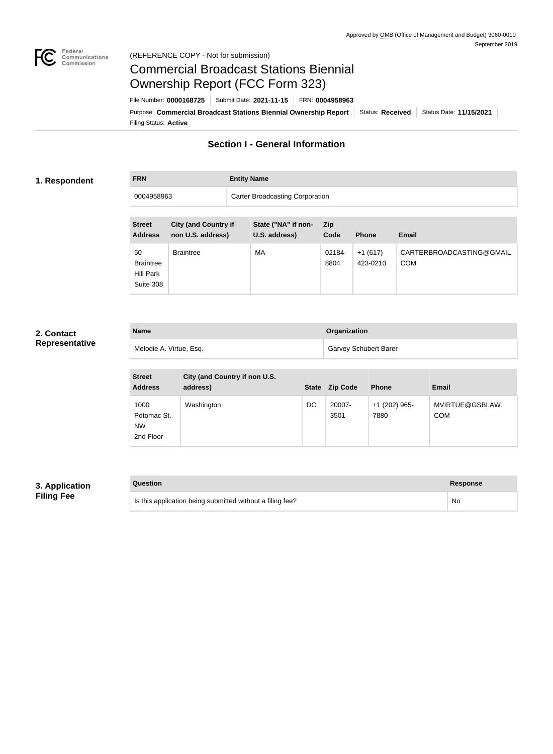

#### Federal<br>Communications<br>Commission (REFERENCE COPY - Not for submission)

# Commercial Broadcast Stations Biennial Ownership Report (FCC Form 323)

Filing Status: **Active** Purpose: Commercial Broadcast Stations Biennial Ownership Report Status: Received Status Date: 11/15/2021 File Number: **0000168725** Submit Date: **2021-11-15** FRN: **0004958963**

## **Section I - General Information**

#### **1. Respondent**

## **FRN Entity Name**

| 0004958963                          |                                                  | <b>Carter Broadcasting Corporation</b> |                |                       |                                         |
|-------------------------------------|--------------------------------------------------|----------------------------------------|----------------|-----------------------|-----------------------------------------|
| <b>Street</b><br><b>Address</b>     | <b>City (and Country if</b><br>non U.S. address) | State ("NA" if non-<br>U.S. address)   | Zip<br>Code    | <b>Phone</b>          | <b>Email</b>                            |
| 50<br><b>Braintree</b><br>Hill Park | <b>Braintree</b>                                 | МA                                     | 02184-<br>8804 | $+1(617)$<br>423-0210 | CARTERBROADCASTING@GMAIL.<br><b>COM</b> |

### **2. Contact Representative**

| <b>Name</b>             | Organization                 |
|-------------------------|------------------------------|
| Melodie A. Virtue, Esq. | <b>Garvey Schubert Barer</b> |

| <b>Street</b><br><b>Address</b>               | City (and Country if non U.S.<br>address) | <b>State</b> | <b>Zip Code</b> | <b>Phone</b>          | <b>Email</b>                  |
|-----------------------------------------------|-------------------------------------------|--------------|-----------------|-----------------------|-------------------------------|
| 1000<br>Potomac St.<br><b>NW</b><br>2nd Floor | Washington                                | DC           | 20007-<br>3501  | +1 (202) 965-<br>7880 | MVIRTUE@GSBLAW.<br><b>COM</b> |

#### **3. Application Filing Fee**

| Question | Response |
|----------|----------|
|----------|----------|

Suite 308

| Is this application being submitted without a filing fee? | No |
|-----------------------------------------------------------|----|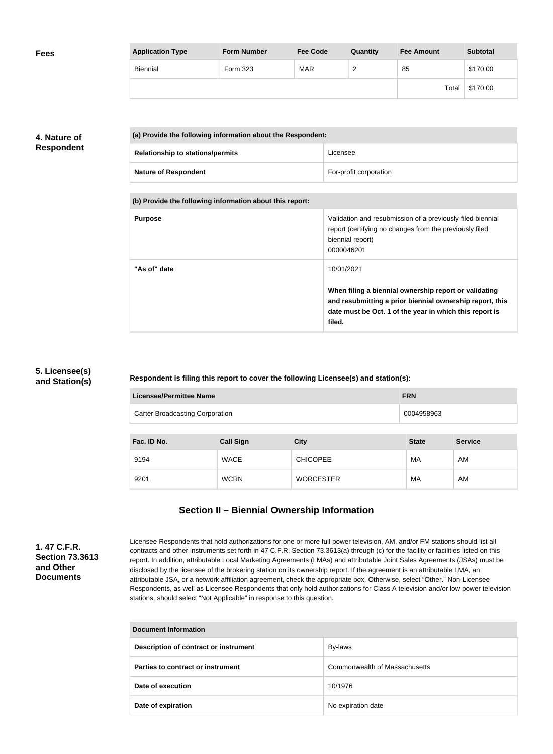| <b>Fees</b> | <b>Application Type</b> | <b>Form Number</b> | <b>Fee Code</b> | Quantity | <b>Fee Amount</b> | <b>Subtotal</b> |
|-------------|-------------------------|--------------------|-----------------|----------|-------------------|-----------------|
|             | Biennial                | Form 323           | <b>MAR</b>      | r<br>-   | 85                | \$170.00        |
|             |                         |                    |                 |          | Total             | \$170.00        |

### **4. Nature of Respondent**

| (a) Provide the following information about the Respondent: |                        |  |
|-------------------------------------------------------------|------------------------|--|
| <b>Relationship to stations/permits</b>                     | Licensee               |  |
| <b>Nature of Respondent</b>                                 | For-profit corporation |  |

**(b) Provide the following information about this report:**

| <b>Purpose</b> | Validation and resubmission of a previously filed biennial<br>report (certifying no changes from the previously filed<br>biennial report)<br>0000046201                                |
|----------------|----------------------------------------------------------------------------------------------------------------------------------------------------------------------------------------|
| "As of" date   | 10/01/2021                                                                                                                                                                             |
|                | When filing a biennial ownership report or validating<br>and resubmitting a prior biennial ownership report, this<br>date must be Oct. 1 of the year in which this report is<br>filed. |

### **5. Licensee(s) and Station(s)**

#### **Respondent is filing this report to cover the following Licensee(s) and station(s):**

| Licensee/Permittee Name                              |                  |                  | <b>FRN</b>   |                |
|------------------------------------------------------|------------------|------------------|--------------|----------------|
| <b>Carter Broadcasting Corporation</b><br>0004958963 |                  |                  |              |                |
| Fac. ID No.                                          | <b>Call Sign</b> | <b>City</b>      | <b>State</b> | <b>Service</b> |
|                                                      |                  |                  |              |                |
| 9194                                                 | <b>WACE</b>      | <b>CHICOPEE</b>  | MA           | AM             |
| 9201                                                 | <b>WCRN</b>      | <b>WORCESTER</b> | MA           | AM             |

## **Section II – Biennial Ownership Information**

**1. 47 C.F.R. Section 73.3613 and Other Documents**

Licensee Respondents that hold authorizations for one or more full power television, AM, and/or FM stations should list all contracts and other instruments set forth in 47 C.F.R. Section 73.3613(a) through (c) for the facility or facilities listed on this report. In addition, attributable Local Marketing Agreements (LMAs) and attributable Joint Sales Agreements (JSAs) must be disclosed by the licensee of the brokering station on its ownership report. If the agreement is an attributable LMA, an attributable JSA, or a network affiliation agreement, check the appropriate box. Otherwise, select "Other." Non-Licensee Respondents, as well as Licensee Respondents that only hold authorizations for Class A television and/or low power television stations, should select "Not Applicable" in response to this question.

| Document Information                  |                               |  |
|---------------------------------------|-------------------------------|--|
| Description of contract or instrument | By-laws                       |  |
| Parties to contract or instrument     | Commonwealth of Massachusetts |  |
| Date of execution                     | 10/1976                       |  |
| Date of expiration                    | No expiration date            |  |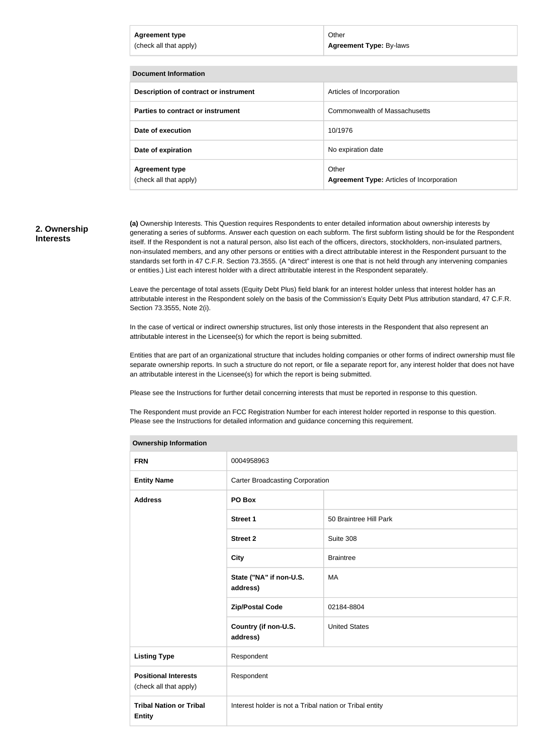| <b>Agreement type</b><br>(check all that apply) | Other<br><b>Agreement Type: By-laws</b> |  |  |  |
|-------------------------------------------------|-----------------------------------------|--|--|--|
|                                                 |                                         |  |  |  |
| <b>Document Information</b>                     |                                         |  |  |  |
| Description of contract or instrument           | Articles of Incorporation               |  |  |  |
| Parties to contract or instrument               | Commonwealth of Massachusetts           |  |  |  |

| Date of expiration     | No expiration date                               |
|------------------------|--------------------------------------------------|
| <b>Agreement type</b>  | Other                                            |
| (check all that apply) | <b>Agreement Type: Articles of Incorporation</b> |

**Date of execution** 10/1976

#### **2. Ownership Interests**

**(a)** Ownership Interests. This Question requires Respondents to enter detailed information about ownership interests by generating a series of subforms. Answer each question on each subform. The first subform listing should be for the Respondent itself. If the Respondent is not a natural person, also list each of the officers, directors, stockholders, non-insulated partners, non-insulated members, and any other persons or entities with a direct attributable interest in the Respondent pursuant to the standards set forth in 47 C.F.R. Section 73.3555. (A "direct" interest is one that is not held through any intervening companies or entities.) List each interest holder with a direct attributable interest in the Respondent separately.

Leave the percentage of total assets (Equity Debt Plus) field blank for an interest holder unless that interest holder has an attributable interest in the Respondent solely on the basis of the Commission's Equity Debt Plus attribution standard, 47 C.F.R. Section 73.3555, Note 2(i).

In the case of vertical or indirect ownership structures, list only those interests in the Respondent that also represent an attributable interest in the Licensee(s) for which the report is being submitted.

Entities that are part of an organizational structure that includes holding companies or other forms of indirect ownership must file separate ownership reports. In such a structure do not report, or file a separate report for, any interest holder that does not have an attributable interest in the Licensee(s) for which the report is being submitted.

Please see the Instructions for further detail concerning interests that must be reported in response to this question.

The Respondent must provide an FCC Registration Number for each interest holder reported in response to this question. Please see the Instructions for detailed information and guidance concerning this requirement.

| <b>FRN</b><br>0004958963<br><b>Carter Broadcasting Corporation</b><br><b>Entity Name</b><br><b>Address</b><br>PO Box<br><b>Street 1</b><br>50 Braintree Hill Park<br><b>Street 2</b><br>Suite 308<br><b>City</b><br><b>Braintree</b><br>State ("NA" if non-U.S.<br><b>MA</b><br>address)<br><b>Zip/Postal Code</b><br>02184-8804<br><b>United States</b><br>Country (if non-U.S.<br>address)<br>Respondent<br><b>Listing Type</b><br>Respondent<br><b>Positional Interests</b><br>(check all that apply)<br><b>Tribal Nation or Tribal</b><br>Interest holder is not a Tribal nation or Tribal entity<br><b>Entity</b> | <b>Ownership Information</b> |  |  |
|------------------------------------------------------------------------------------------------------------------------------------------------------------------------------------------------------------------------------------------------------------------------------------------------------------------------------------------------------------------------------------------------------------------------------------------------------------------------------------------------------------------------------------------------------------------------------------------------------------------------|------------------------------|--|--|
|                                                                                                                                                                                                                                                                                                                                                                                                                                                                                                                                                                                                                        |                              |  |  |
|                                                                                                                                                                                                                                                                                                                                                                                                                                                                                                                                                                                                                        |                              |  |  |
|                                                                                                                                                                                                                                                                                                                                                                                                                                                                                                                                                                                                                        |                              |  |  |
|                                                                                                                                                                                                                                                                                                                                                                                                                                                                                                                                                                                                                        |                              |  |  |
|                                                                                                                                                                                                                                                                                                                                                                                                                                                                                                                                                                                                                        |                              |  |  |
|                                                                                                                                                                                                                                                                                                                                                                                                                                                                                                                                                                                                                        |                              |  |  |
|                                                                                                                                                                                                                                                                                                                                                                                                                                                                                                                                                                                                                        |                              |  |  |
|                                                                                                                                                                                                                                                                                                                                                                                                                                                                                                                                                                                                                        |                              |  |  |
|                                                                                                                                                                                                                                                                                                                                                                                                                                                                                                                                                                                                                        |                              |  |  |
|                                                                                                                                                                                                                                                                                                                                                                                                                                                                                                                                                                                                                        |                              |  |  |
|                                                                                                                                                                                                                                                                                                                                                                                                                                                                                                                                                                                                                        |                              |  |  |
|                                                                                                                                                                                                                                                                                                                                                                                                                                                                                                                                                                                                                        |                              |  |  |

#### **Ownership Information**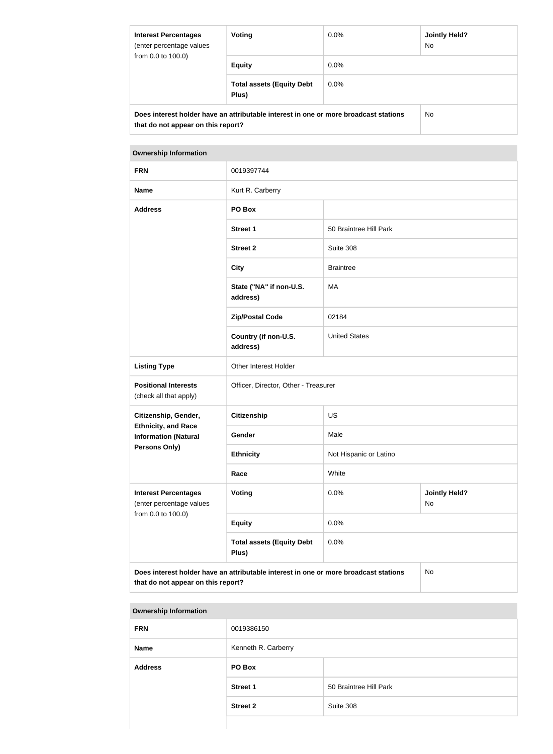| <b>Interest Percentages</b><br>(enter percentage values                                                                    | Voting                                    | $0.0\%$ | Jointly Held?<br><b>No</b> |  |
|----------------------------------------------------------------------------------------------------------------------------|-------------------------------------------|---------|----------------------------|--|
| from 0.0 to 100.0)                                                                                                         | <b>Equity</b>                             | $0.0\%$ |                            |  |
|                                                                                                                            | <b>Total assets (Equity Debt</b><br>Plus) | $0.0\%$ |                            |  |
| Does interest holder have an attributable interest in one or more broadcast stations<br>that do not appear on this report? |                                           |         | No.                        |  |

#### **Ownership Information**

| <b>FRN</b>                                                                    | 0019397744                                                                           |                        |                            |
|-------------------------------------------------------------------------------|--------------------------------------------------------------------------------------|------------------------|----------------------------|
| <b>Name</b>                                                                   | Kurt R. Carberry                                                                     |                        |                            |
| <b>Address</b>                                                                | PO Box                                                                               |                        |                            |
|                                                                               | <b>Street 1</b>                                                                      | 50 Braintree Hill Park |                            |
|                                                                               | <b>Street 2</b>                                                                      | Suite 308              |                            |
|                                                                               | <b>City</b>                                                                          | <b>Braintree</b>       |                            |
|                                                                               | State ("NA" if non-U.S.<br>address)                                                  | MA                     |                            |
|                                                                               | <b>Zip/Postal Code</b>                                                               | 02184                  |                            |
|                                                                               | Country (if non-U.S.<br>address)                                                     | <b>United States</b>   |                            |
| <b>Listing Type</b>                                                           | Other Interest Holder                                                                |                        |                            |
| <b>Positional Interests</b><br>(check all that apply)                         | Officer, Director, Other - Treasurer                                                 |                        |                            |
| Citizenship, Gender,                                                          | <b>Citizenship</b>                                                                   | <b>US</b>              |                            |
| <b>Ethnicity, and Race</b><br><b>Information (Natural</b>                     | Gender                                                                               | Male                   |                            |
| <b>Persons Only)</b>                                                          | <b>Ethnicity</b>                                                                     | Not Hispanic or Latino |                            |
|                                                                               | Race                                                                                 | White                  |                            |
| <b>Interest Percentages</b><br>(enter percentage values<br>from 0.0 to 100.0) | Voting                                                                               | 0.0%                   | <b>Jointly Held?</b><br>No |
|                                                                               | <b>Equity</b>                                                                        | 0.0%                   |                            |
|                                                                               | <b>Total assets (Equity Debt</b><br>Plus)                                            | 0.0%                   |                            |
| that do not appear on this report?                                            | Does interest holder have an attributable interest in one or more broadcast stations |                        | No                         |

| <b>Ownership Information</b> |                     |                        |
|------------------------------|---------------------|------------------------|
| <b>FRN</b>                   | 0019386150          |                        |
| <b>Name</b>                  | Kenneth R. Carberry |                        |
| <b>Address</b>               | PO Box              |                        |
|                              | <b>Street 1</b>     | 50 Braintree Hill Park |
|                              | <b>Street 2</b>     | Suite 308              |
|                              |                     |                        |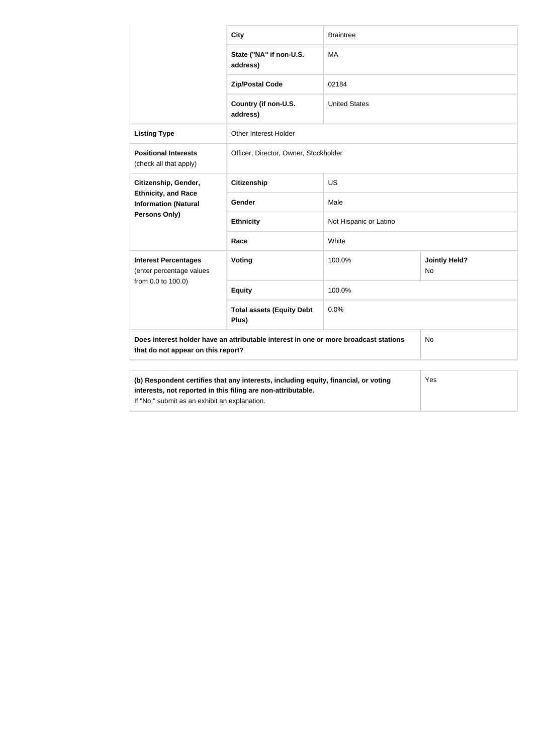|                                                                                                                                                                                                             | <b>City</b>                               | <b>Braintree</b>       |                            |
|-------------------------------------------------------------------------------------------------------------------------------------------------------------------------------------------------------------|-------------------------------------------|------------------------|----------------------------|
|                                                                                                                                                                                                             | State ("NA" if non-U.S.<br>address)       | MA                     |                            |
|                                                                                                                                                                                                             | <b>Zip/Postal Code</b>                    | 02184                  |                            |
|                                                                                                                                                                                                             | Country (if non-U.S.<br>address)          | <b>United States</b>   |                            |
| <b>Listing Type</b>                                                                                                                                                                                         | <b>Other Interest Holder</b>              |                        |                            |
| <b>Positional Interests</b><br>(check all that apply)                                                                                                                                                       | Officer, Director, Owner, Stockholder     |                        |                            |
| Citizenship, Gender,                                                                                                                                                                                        | <b>Citizenship</b>                        | <b>US</b>              |                            |
| <b>Ethnicity, and Race</b><br><b>Information (Natural</b>                                                                                                                                                   | Gender                                    | Male                   |                            |
| Persons Only)                                                                                                                                                                                               | <b>Ethnicity</b>                          | Not Hispanic or Latino |                            |
|                                                                                                                                                                                                             | Race                                      | White                  |                            |
| <b>Interest Percentages</b><br>(enter percentage values                                                                                                                                                     | Voting                                    | 100.0%                 | <b>Jointly Held?</b><br>No |
| from 0.0 to 100.0)                                                                                                                                                                                          | <b>Equity</b>                             | 100.0%                 |                            |
|                                                                                                                                                                                                             | <b>Total assets (Equity Debt</b><br>Plus) | 0.0%                   |                            |
| Does interest holder have an attributable interest in one or more broadcast stations<br>No<br>that do not appear on this report?                                                                            |                                           |                        |                            |
| (b) Respondent certifies that any interests, including equity, financial, or voting<br>Yes<br>interests, not reported in this filing are non-attributable.<br>If "No," submit as an exhibit an explanation. |                                           |                        |                            |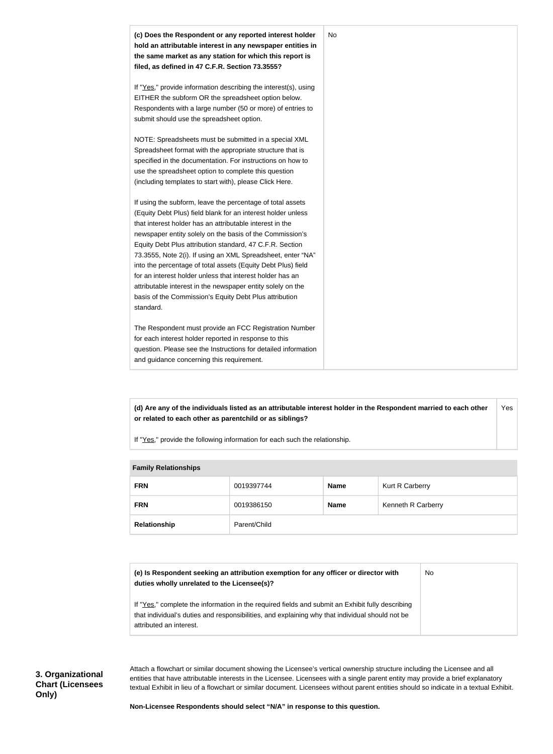

**(d) Are any of the individuals listed as an attributable interest holder in the Respondent married to each other or related to each other as parentchild or as siblings?** Yes

If "Yes," provide the following information for each such the relationship.

| <b>Fallilly INGIQUUISHIPS</b> |              |             |                    |  |
|-------------------------------|--------------|-------------|--------------------|--|
| <b>FRN</b>                    | 0019397744   | <b>Name</b> | Kurt R Carberry    |  |
| <b>FRN</b>                    | 0019386150   | <b>Name</b> | Kenneth R Carberry |  |
| Relationship                  | Parent/Child |             |                    |  |

#### **Family Relationships**

| (e) Is Respondent seeking an attribution exemption for any officer or director with | No |
|-------------------------------------------------------------------------------------|----|
| duties wholly unrelated to the Licensee(s)?                                         |    |
|                                                                                     |    |

If "Yes," complete the information in the required fields and submit an Exhibit fully describing that individual's duties and responsibilities, and explaining why that individual should not be attributed an interest.

Attach a flowchart or similar document showing the Licensee's vertical ownership structure including the Licensee and all entities that have attributable interests in the Licensee. Licensees with a single parent entity may provide a brief explanatory textual Exhibit in lieu of a flowchart or similar document. Licensees without parent entities should so indicate in a textual Exhibit.

**Non-Licensee Respondents should select "N/A" in response to this question.**